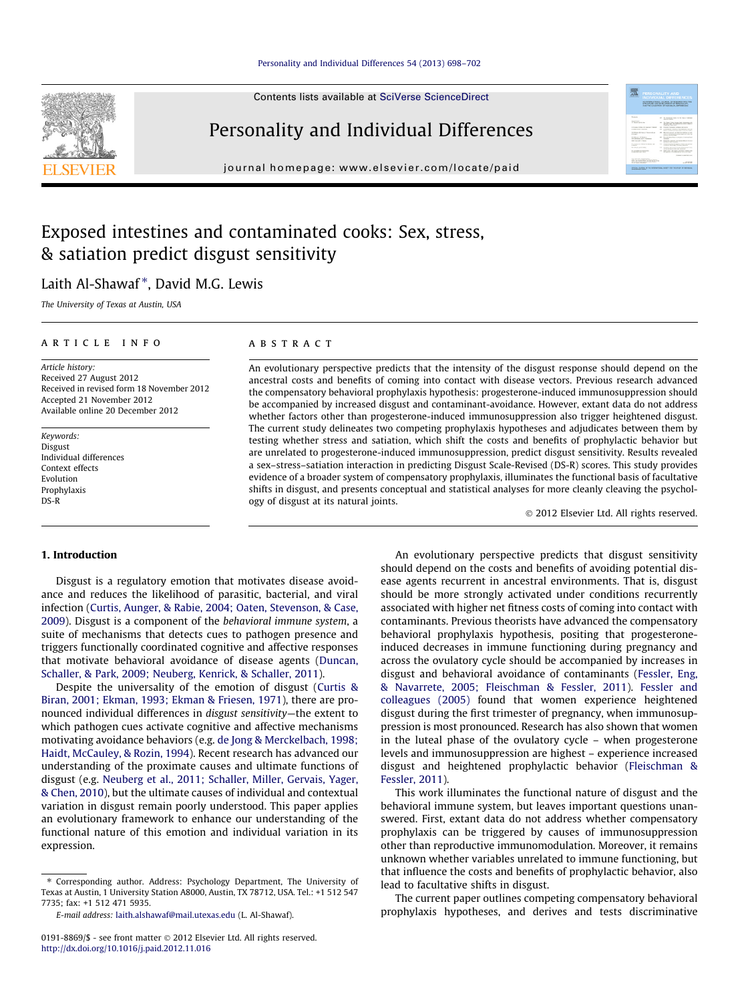#### [Personality and Individual Differences 54 \(2013\) 698–702](http://dx.doi.org/10.1016/j.paid.2012.11.016)

Contents lists available at [SciVerse ScienceDirect](http://www.sciencedirect.com/science/journal/01918869)

## Personality and Individual Differences

journal homepage: [www.elsevier.com/locate/paid](http://www.elsevier.com/locate/paid)

### Exposed intestines and contaminated cooks: Sex, stress, & satiation predict disgust sensitivity

### Laith Al-Shawaf<sup>\*</sup>, David M.G. Lewis

The University of Texas at Austin, USA

#### article info

Article history: Received 27 August 2012 Received in revised form 18 November 2012 Accepted 21 November 2012 Available online 20 December 2012

Keywords: Disgust Individual differences Context effects Evolution Prophylaxis DS-R

#### **ABSTRACT**

An evolutionary perspective predicts that the intensity of the disgust response should depend on the ancestral costs and benefits of coming into contact with disease vectors. Previous research advanced the compensatory behavioral prophylaxis hypothesis: progesterone-induced immunosuppression should be accompanied by increased disgust and contaminant-avoidance. However, extant data do not address whether factors other than progesterone-induced immunosuppression also trigger heightened disgust. The current study delineates two competing prophylaxis hypotheses and adjudicates between them by testing whether stress and satiation, which shift the costs and benefits of prophylactic behavior but are unrelated to progesterone-induced immunosuppression, predict disgust sensitivity. Results revealed a sex–stress–satiation interaction in predicting Disgust Scale-Revised (DS-R) scores. This study provides evidence of a broader system of compensatory prophylaxis, illuminates the functional basis of facultative shifts in disgust, and presents conceptual and statistical analyses for more cleanly cleaving the psychology of disgust at its natural joints.

- 2012 Elsevier Ltd. All rights reserved.

#### 1. Introduction

Disgust is a regulatory emotion that motivates disease avoidance and reduces the likelihood of parasitic, bacterial, and viral infection ([Curtis, Aunger, & Rabie, 2004; Oaten, Stevenson, & Case,](#page--1-0) [2009\)](#page--1-0). Disgust is a component of the behavioral immune system, a suite of mechanisms that detects cues to pathogen presence and triggers functionally coordinated cognitive and affective responses that motivate behavioral avoidance of disease agents [\(Duncan,](#page--1-0) [Schaller, & Park, 2009; Neuberg, Kenrick, & Schaller, 2011\)](#page--1-0).

Despite the universality of the emotion of disgust [\(Curtis &](#page--1-0) [Biran, 2001; Ekman, 1993; Ekman & Friesen, 1971](#page--1-0)), there are pronounced individual differences in disgust sensitivity—the extent to which pathogen cues activate cognitive and affective mechanisms motivating avoidance behaviors (e.g. [de Jong & Merckelbach, 1998;](#page--1-0) [Haidt, McCauley, & Rozin, 1994\)](#page--1-0). Recent research has advanced our understanding of the proximate causes and ultimate functions of disgust (e.g. [Neuberg et al., 2011; Schaller, Miller, Gervais, Yager,](#page--1-0) [& Chen, 2010](#page--1-0)), but the ultimate causes of individual and contextual variation in disgust remain poorly understood. This paper applies an evolutionary framework to enhance our understanding of the functional nature of this emotion and individual variation in its expression.

⇑ Corresponding author. Address: Psychology Department, The University of Texas at Austin, 1 University Station A8000, Austin, TX 78712, USA. Tel.: +1 512 547 7735; fax: +1 512 471 5935.

An evolutionary perspective predicts that disgust sensitivity should depend on the costs and benefits of avoiding potential disease agents recurrent in ancestral environments. That is, disgust should be more strongly activated under conditions recurrently associated with higher net fitness costs of coming into contact with contaminants. Previous theorists have advanced the compensatory behavioral prophylaxis hypothesis, positing that progesteroneinduced decreases in immune functioning during pregnancy and across the ovulatory cycle should be accompanied by increases in disgust and behavioral avoidance of contaminants [\(Fessler, Eng,](#page--1-0) [& Navarrete, 2005; Fleischman & Fessler, 2011\)](#page--1-0). [Fessler and](#page--1-0) [colleagues \(2005\)](#page--1-0) found that women experience heightened disgust during the first trimester of pregnancy, when immunosuppression is most pronounced. Research has also shown that women in the luteal phase of the ovulatory cycle – when progesterone levels and immunosuppression are highest – experience increased disgust and heightened prophylactic behavior [\(Fleischman &](#page--1-0) [Fessler, 2011\)](#page--1-0).

This work illuminates the functional nature of disgust and the behavioral immune system, but leaves important questions unanswered. First, extant data do not address whether compensatory prophylaxis can be triggered by causes of immunosuppression other than reproductive immunomodulation. Moreover, it remains unknown whether variables unrelated to immune functioning, but that influence the costs and benefits of prophylactic behavior, also lead to facultative shifts in disgust.

The current paper outlines competing compensatory behavioral prophylaxis hypotheses, and derives and tests discriminative



E-mail address: [laith.alshawaf@mail.utexas.edu](mailto:laith.alshawaf@mail.utexas.edu) (L. Al-Shawaf).

<sup>0191-8869/\$ -</sup> see front matter © 2012 Elsevier Ltd. All rights reserved. <http://dx.doi.org/10.1016/j.paid.2012.11.016>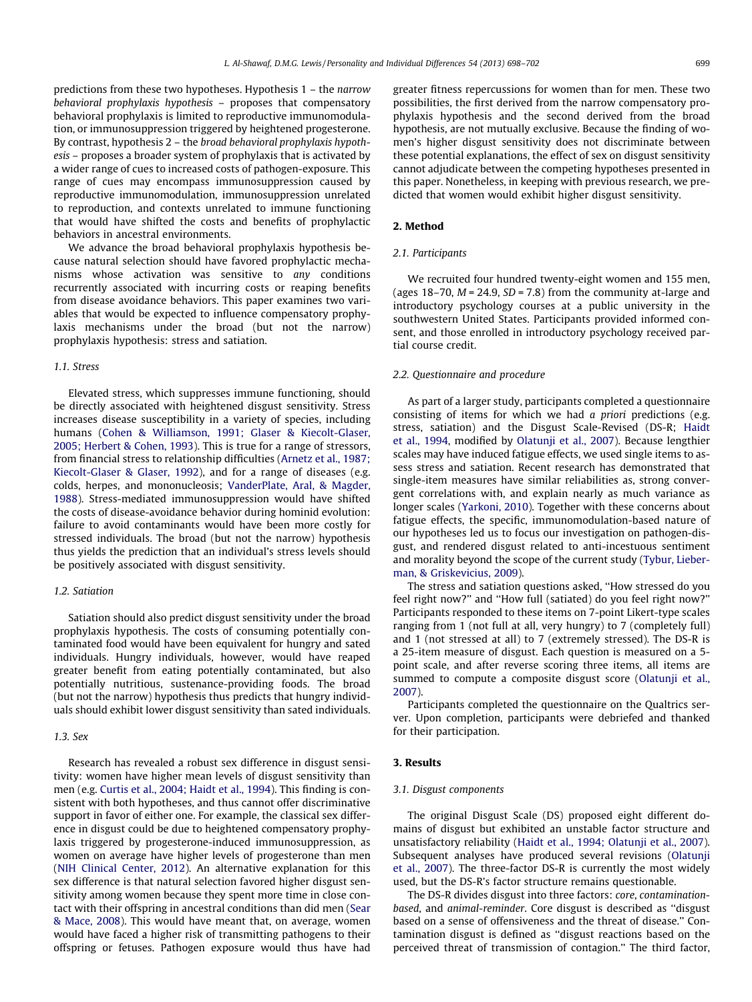predictions from these two hypotheses. Hypothesis 1 – the narrow behavioral prophylaxis hypothesis – proposes that compensatory behavioral prophylaxis is limited to reproductive immunomodulation, or immunosuppression triggered by heightened progesterone. By contrast, hypothesis 2 – the broad behavioral prophylaxis hypothesis – proposes a broader system of prophylaxis that is activated by a wider range of cues to increased costs of pathogen-exposure. This range of cues may encompass immunosuppression caused by reproductive immunomodulation, immunosuppression unrelated to reproduction, and contexts unrelated to immune functioning that would have shifted the costs and benefits of prophylactic behaviors in ancestral environments.

We advance the broad behavioral prophylaxis hypothesis because natural selection should have favored prophylactic mechanisms whose activation was sensitive to any conditions recurrently associated with incurring costs or reaping benefits from disease avoidance behaviors. This paper examines two variables that would be expected to influence compensatory prophylaxis mechanisms under the broad (but not the narrow) prophylaxis hypothesis: stress and satiation.

#### 1.1. Stress

Elevated stress, which suppresses immune functioning, should be directly associated with heightened disgust sensitivity. Stress increases disease susceptibility in a variety of species, including humans [\(Cohen & Williamson, 1991; Glaser & Kiecolt-Glaser,](#page--1-0) [2005; Herbert & Cohen, 1993](#page--1-0)). This is true for a range of stressors, from financial stress to relationship difficulties ([Arnetz et al., 1987;](#page--1-0) [Kiecolt-Glaser & Glaser, 1992\)](#page--1-0), and for a range of diseases (e.g. colds, herpes, and mononucleosis; [VanderPlate, Aral, & Magder,](#page--1-0) [1988\)](#page--1-0). Stress-mediated immunosuppression would have shifted the costs of disease-avoidance behavior during hominid evolution: failure to avoid contaminants would have been more costly for stressed individuals. The broad (but not the narrow) hypothesis thus yields the prediction that an individual's stress levels should be positively associated with disgust sensitivity.

#### 1.2. Satiation

Satiation should also predict disgust sensitivity under the broad prophylaxis hypothesis. The costs of consuming potentially contaminated food would have been equivalent for hungry and sated individuals. Hungry individuals, however, would have reaped greater benefit from eating potentially contaminated, but also potentially nutritious, sustenance-providing foods. The broad (but not the narrow) hypothesis thus predicts that hungry individuals should exhibit lower disgust sensitivity than sated individuals.

#### $1.3.$  Sex

Research has revealed a robust sex difference in disgust sensitivity: women have higher mean levels of disgust sensitivity than men (e.g. [Curtis et al., 2004; Haidt et al., 1994\)](#page--1-0). This finding is consistent with both hypotheses, and thus cannot offer discriminative support in favor of either one. For example, the classical sex difference in disgust could be due to heightened compensatory prophylaxis triggered by progesterone-induced immunosuppression, as women on average have higher levels of progesterone than men ([NIH Clinical Center, 2012\)](#page--1-0). An alternative explanation for this sex difference is that natural selection favored higher disgust sensitivity among women because they spent more time in close contact with their offspring in ancestral conditions than did men ([Sear](#page--1-0) [& Mace, 2008](#page--1-0)). This would have meant that, on average, women would have faced a higher risk of transmitting pathogens to their offspring or fetuses. Pathogen exposure would thus have had

greater fitness repercussions for women than for men. These two possibilities, the first derived from the narrow compensatory prophylaxis hypothesis and the second derived from the broad hypothesis, are not mutually exclusive. Because the finding of women's higher disgust sensitivity does not discriminate between these potential explanations, the effect of sex on disgust sensitivity cannot adjudicate between the competing hypotheses presented in this paper. Nonetheless, in keeping with previous research, we predicted that women would exhibit higher disgust sensitivity.

#### 2. Method

#### 2.1. Participants

We recruited four hundred twenty-eight women and 155 men, (ages 18–70,  $M = 24.9$ ,  $SD = 7.8$ ) from the community at-large and introductory psychology courses at a public university in the southwestern United States. Participants provided informed consent, and those enrolled in introductory psychology received partial course credit.

#### 2.2. Questionnaire and procedure

As part of a larger study, participants completed a questionnaire consisting of items for which we had a priori predictions (e.g. stress, satiation) and the Disgust Scale-Revised (DS-R; [Haidt](#page--1-0) [et al., 1994](#page--1-0), modified by [Olatunji et al., 2007\)](#page--1-0). Because lengthier scales may have induced fatigue effects, we used single items to assess stress and satiation. Recent research has demonstrated that single-item measures have similar reliabilities as, strong convergent correlations with, and explain nearly as much variance as longer scales ([Yarkoni, 2010](#page--1-0)). Together with these concerns about fatigue effects, the specific, immunomodulation-based nature of our hypotheses led us to focus our investigation on pathogen-disgust, and rendered disgust related to anti-incestuous sentiment and morality beyond the scope of the current study ([Tybur, Lieber](#page--1-0)[man, & Griskevicius, 2009](#page--1-0)).

The stress and satiation questions asked, ''How stressed do you feel right now?'' and ''How full (satiated) do you feel right now?'' Participants responded to these items on 7-point Likert-type scales ranging from 1 (not full at all, very hungry) to 7 (completely full) and 1 (not stressed at all) to 7 (extremely stressed). The DS-R is a 25-item measure of disgust. Each question is measured on a 5 point scale, and after reverse scoring three items, all items are summed to compute a composite disgust score [\(Olatunji et al.,](#page--1-0) [2007](#page--1-0)).

Participants completed the questionnaire on the Qualtrics server. Upon completion, participants were debriefed and thanked for their participation.

#### 3. Results

#### 3.1. Disgust components

The original Disgust Scale (DS) proposed eight different domains of disgust but exhibited an unstable factor structure and unsatisfactory reliability [\(Haidt et al., 1994; Olatunji et al., 2007\)](#page--1-0). Subsequent analyses have produced several revisions [\(Olatunji](#page--1-0) [et al., 2007](#page--1-0)). The three-factor DS-R is currently the most widely used, but the DS-R's factor structure remains questionable.

The DS-R divides disgust into three factors: core, contaminationbased, and animal-reminder. Core disgust is described as ''disgust based on a sense of offensiveness and the threat of disease.'' Contamination disgust is defined as ''disgust reactions based on the perceived threat of transmission of contagion.'' The third factor,